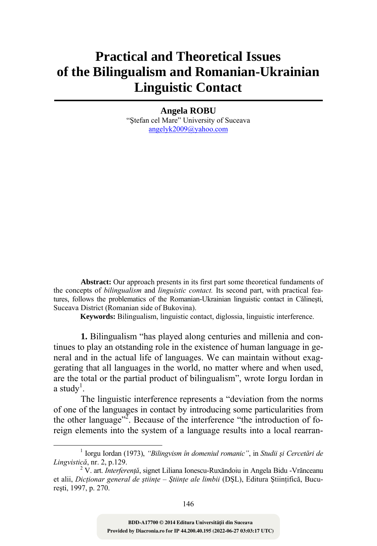## **Practical and Theoretical Issues of the Bilingualism and Romanian-Ukrainian Linguistic Contact**

**Angela ROBU**

"Ştefan cel Mare" University of Suceava angelyk2009@yahoo.com

**Abstract:** Our approach presents in its first part some theoretical fundaments of the concepts of *bilingualism* and *linguistic contact.* Its second part, with practical features, follows the problematics of the Romanian-Ukrainian linguistic contact in Călineşti, Suceava District (Romanian side of Bukovina).

**Keywords:** Bilingualism, linguistic contact, diglossia, linguistic interference.

**1.** Bilingualism "has played along centuries and millenia and continues to play an otstanding role in the existence of human language in general and in the actual life of languages. We can maintain without exaggerating that all languages in the world, no matter where and when used, are the total or the partial product of bilingualism", wrote Iorgu Iordan in a study<sup>1</sup>.

The linguistic interference represents a "deviation from the norms of one of the languages in contact by introducing some particularities from the other language"<sup>2</sup>. Because of the interference "the introduction of foreign elements into the system of a language results into a local rearran-

<sup>&</sup>lt;u>1</u> Iorgu Iordan (1973), *"Bilingvism în domeniul romanic"*, in *Studii şi Cercetări de Lingvistică*, nr. 2, p.129. <sup>2</sup>

V. art. *Interferenţă*, signet Liliana Ionescu-Ruxăndoiu in Angela Bidu -Vrănceanu et alii, *Dicţionar general de ştiinţe – Ştiinţe ale limbii* (DŞL), Editura Ştiinţifică, Bucureşti, 1997, p. 270.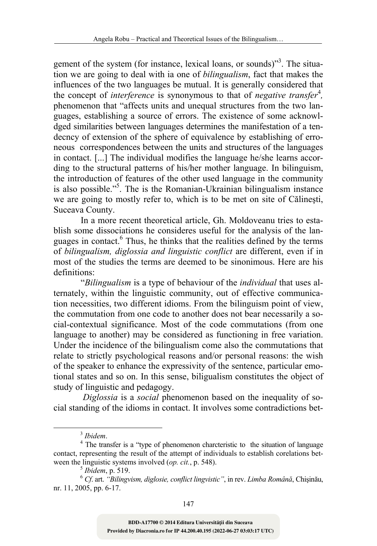gement of the system (for instance, lexical loans, or sounds)"<sup>3</sup>. The situation we are going to deal with ia one of *bilingualism*, fact that makes the influences of the two languages be mutual. It is generally considered that the concept of *interference* is synonymous to that of *negative transfer*<sup>4</sup> *,* phenomenon that "affects units and unequal structures from the two languages, establishing a source of errors. The existence of some acknowldged similarities between languages determines the manifestation of a tendecncy of extension of the sphere of equivalence by establishing of erroneous correspondences between the units and structures of the languages in contact. [...] The individual modifies the language he/she learns according to the structural patterns of his/her mother language. In bilinguism, the introduction of features of the other used language in the community is also possible."<sup>5</sup>. The is the Romanian-Ukrainian bilingualism instance we are going to mostly refer to, which is to be met on site of Călineşti, Suceava County.

In a more recent theoretical article, Gh. Moldoveanu tries to establish some dissociations he consideres useful for the analysis of the languages in contact.<sup>6</sup> Thus, he thinks that the realities defined by the terms of *bilingualism, diglossia and linguistic conflict* are different, even if in most of the studies the terms are deemed to be sinonimous. Here are his definitions:

"*Bilingualism* is a type of behaviour of the *individual* that uses alternately, within the linguistic community, out of effective communication necessities, two different idioms. From the bilinguism point of view, the commutation from one code to another does not bear necessarily a social-contextual significance. Most of the code commutations (from one language to another) may be considered as functioning in free variation. Under the incidence of the bilingualism come also the commutations that relate to strictly psychological reasons and/or personal reasons: the wish of the speaker to enhance the expressivity of the sentence, particular emotional states and so on. In this sense, biligualism constitutes the object of study of linguistic and pedagogy.

 *Diglossia* is a *social* phenomenon based on the inequality of social standing of the idioms in contact. It involves some contradictions bet-

<sup>3</sup> *Ibidem*. <sup>4</sup>

<sup>&</sup>lt;sup>4</sup> The transfer is a "type of phenomenon charcteristic to the situation of language contact, representing the result of the attempt of individuals to establish corelations bet-<br>ween the linguistic systems involved  $(op. cit., p. 548)$ .

ween the linguistic systems involved (*op. cit.*, p. 548). <sup>5</sup> *Ibidem*, p. 519. <sup>6</sup> *Cf*. art. *"Bilingvism, diglosie, conflict lingvistic"*, in rev. *Limba Română*, Chişinău, nr. 11, 2005, pp. 6-17.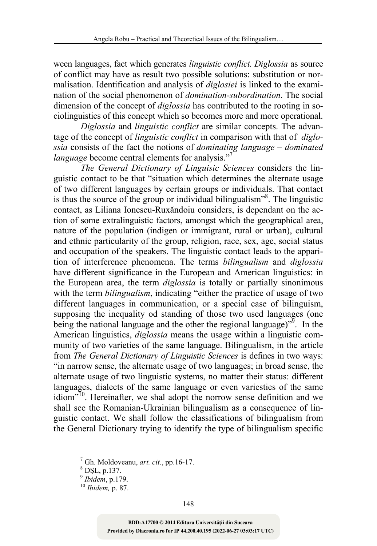ween languages, fact which generates *linguistic conflict. Diglossia* as source of conflict may have as result two possible solutions: substitution or normalisation. Identification and analysis of *diglosiei* is linked to the examination of the social phenomenon of *domination-subordination*. The social dimension of the concept of *diglossia* has contributed to the rooting in sociolinguistics of this concept which so becomes more and more operational.

*Diglossia* and *linguistic conflict* are similar concepts. The advantage of the concept of *linguistic conflict* in comparison with that of *diglossia* consists of the fact the notions of *dominating language – dominated language* become central elements for analysis."<sup>7</sup>

*The General Dictionary of Linguisic Sciences* considers the linguistic contact to be that "situation which determines the alternate usage of two different languages by certain groups or individuals. That contact is thus the source of the group or individual bilingualism<sup>38</sup>. The linguistic contact, as Liliana Ionescu-Ruxăndoiu considers, is dependant on the action of some extralinguistic factors, amongst which the geographical area, nature of the population (indigen or immigrant, rural or urban), cultural and ethnic particularity of the group, religion, race, sex, age, social status and occupation of the speakers. The linguistic contact leads to the apparition of interference phenomena. The terms *bilingualism* and *diglossia* have different significance in the European and American linguistics: in the European area, the term *diglossia* is totally or partially sinonimous with the term *bilingualism*, indicating "either the practice of usage of two different languages in communication, or a special case of bilinguism, supposing the inequality od standing of those two used languages (one being the national language and the other the regional language)<sup>19</sup>. In the American linguistics, *diglossia* means the usage within a linguistic community of two varieties of the same language. Bilingualism, in the article from *The General Dictionary of Linguistic Sciences* is defines in two ways: "in narrow sense, the alternate usage of two languages; in broad sense, the alternate usage of two linguistic systems, no matter their status: different languages, dialects of the same language or even variesties of the same idiom"10. Hereinafter, we shal adopt the norrow sense definition and we shall see the Romanian-Ukrainian bilingualism as a consequence of linguistic contact. We shall follow the classifications of bilingualism from the General Dictionary trying to identify the type of bilingualism specific

 <sup>7</sup>  $^7$  Gh. Moldoveanu, *art. cit.*, pp.16-17.

 $\frac{8}{9}$  DŞL, p.137.<br> $\frac{9}{9}$  Ibidem, p.179.

*Ibidem*, p.179. <sup>10</sup> *Ibidem,* p. 87.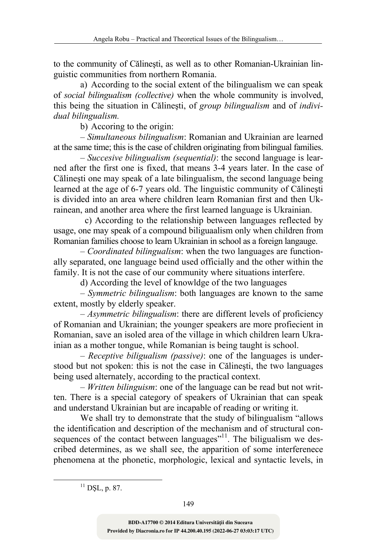to the community of Călineşti, as well as to other Romanian-Ukrainian linguistic communities from northern Romania.

a) According to the social extent of the bilingualism we can speak of *social bilingualism (collective)* when the whole community is involved, this being the situation in Călineşti, of *group bilingualism* and of *individual bilingualism.*

b) Accoring to the origin:

– *Simultaneous bilingualism*: Romanian and Ukrainian are learned at the same time; this is the case of children originating from bilingual families.

– *Succesive bilingualism (sequential)*: the second language is learned after the first one is fixed, that means 3-4 years later. In the case of Călineşti one may speak of a late bilingualism, the second language being learned at the age of 6-7 years old. The linguistic community of Călineşti is divided into an area where children learn Romanian first and then Ukrainean, and another area where the first learned language is Ukrainian.

 c) According to the relationship between languages reflected by usage, one may speak of a compound biliguaalism only when children from Romanian families choose to learn Ukrainian in school as a foreign langauge.

– *Coordinated bilingualism*: when the two languages are functionally separated, one language beind used officially and the other within the family. It is not the case of our community where situations interfere.

d) According the level of knowldge of the two languages

– *Symmetric bilingualism*: both languages are known to the same extent, mostly by elderly speaker.

– *Asymmetric bilingualism*: there are different levels of proficiency of Romanian and Ukrainian; the younger speakers are more profiecient in Romanian, save an isoled area of the village in which children learn Ukrainian as a mother tongue, while Romanian is being taught is school.

– *Receptive biligualism (passive)*: one of the languages is understood but not spoken: this is not the case in Călineşti, the two languages being used alternately, according to the practical context.

– *Written bilinguism*: one of the language can be read but not written. There is a special category of speakers of Ukrainian that can speak and understand Ukrainian but are incapable of reading or writing it.

We shall try to demonstrate that the study of bilingualism "allows the identification and description of the mechanism and of structural consequences of the contact between languages"<sup>11</sup>. The biligualism we described determines, as we shall see, the apparition of some interferenece phenomena at the phonetic, morphologic, lexical and syntactic levels, in

 $11$  DSL, p. 87.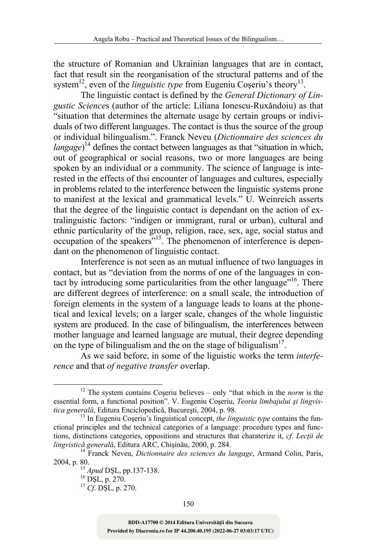the structure of Romanian and Ukrainian languages that are in contact, fact that result sin the reorganisation of the structural patterns and of the system<sup>12</sup>, even of the *linguistic type* from Eugeniu Coseriu's theory<sup>13</sup>.

The linguistic contact is defined by the *General Dictionary of Lingustic Science*s (author of the article: Liliana Ionescu-Ruxăndoiu) as that "situation that determines the alternate usage by certain groups or individuals of two different languages. The contact is thus the source of the group or individual bilingualism.". Franck Neveu (*Dictionnaire des sciences du langage*) 14 defines the contact between languages as that "situation in which, out of geographical or social reasons, two or more languages are being spoken by an individual or a community. The science of language is interested in the effects of thsi encounter of languages and cultures, especially in problems related to the interference between the linguistic systems prone to manifest at the lexical and grammatical levels." U. Weinreich asserts that the degree of the linguistic contact is dependant on the action of extralinguistic factors: "indigen or immigrant, rural or urban), cultural and ethnic particularity of the group, religion, race, sex, age, social status and occupation of the speakers"15. The phenomenon of interference is dependant on the phenomenon of linguistic contact.

Interference is not seen as an mutual influence of two languages in contact, but as "deviation from the norms of one of the languages in contact by introducing some particularities from the other language"16. There are different degrees of interference: on a small scale, the introduction of foreign elements in the system of a language leads to loans at the phonetical and lexical levels; on a larger scale, changes of the whole linguistic system are produced. In the case of bilingualism, the interferences between mother language and learned language are mutual, their degree depending on the type of bilingualism and the on the stage of biligualism<sup>17</sup>.

As we said before, in some of the liguistic works the term *interference* and that *of negative transfer* overlap.

 <sup>12</sup> The system contains Coşeriu believes – only "that which in the *norm* is the essential form, a functional position". V. Eugeniu Coşeriu, *Teoria limbajului şi lingvistica generală*, Editura Enciclopedică, București, 2004, p. 98.<br><sup>13</sup> In Eugeniu Coșeriu's linguistical concept, *the linguistic type* contains the fun-

ctional principles and the technical categories of a language: procedure types and functions, distinctions categories, oppositions and structures that charaterize it, *cf*. *Lecţii de*

<sup>&</sup>lt;sup>14</sup> Franck Neveu, *Dictionnaire des sciences du langage*, Armand Colin, Paris, 2004, p. 80. <sup>15</sup> *Apud* DŞL, pp.137-138. 16 DŞL, p. 270. <sup>17</sup> *Cf*. DŞL, p. 270.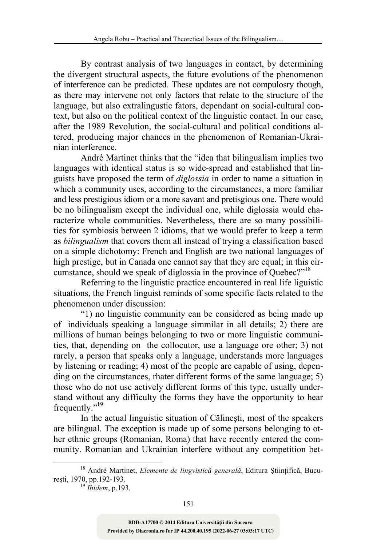By contrast analysis of two languages in contact, by determining the divergent structural aspects, the future evolutions of the phenomenon of interference can be predicted. These updates are not compulosry though, as there may intervene not only factors that relate to the structure of the language, but also extralingustic fators, dependant on social-cultural context, but also on the political context of the linguistic contact. In our case, after the 1989 Revolution, the social-cultural and political conditions altered, producing major chances in the phenomenon of Romanian-Ukrainian interference.

André Martinet thinks that the "idea that bilingualism implies two languages with identical status is so wide-spread and established that linguists have proposed the term of *diglossia* in order to name a situation in which a community uses, according to the circumstances, a more familiar and less prestigious idiom or a more savant and pretisgious one. There would be no bilingualism except the individual one, while diglossia would characterize whole communities. Nevertheless, there are so many possibilities for symbiosis between 2 idioms, that we would prefer to keep a term as *bilingualism* that covers them all instead of trying a classification based on a simple dichotomy: French and English are two national languages of high prestige, but in Canada one cannot say that they are equal; in this circumstance, should we speak of diglossia in the province of Quebec?"18

Referring to the linguistic practice encountered in real life liguistic situations, the French linguist reminds of some specific facts related to the phenomenon under discussion:

"1) no linguistic community can be considered as being made up of individuals speaking a language simmilar in all details; 2) there are millions of human beings belonging to two or more linguistic communities, that, depending on the collocutor, use a language ore other; 3) not rarely, a person that speaks only a language, understands more languages by listening or reading; 4) most of the people are capable of using, depending on the circumstances, rhater different forms of the same language; 5) those who do not use actively different forms of this type, usually understand without any difficulty the forms they have the opportunity to hear frequently."<sup>19</sup>

In the actual linguistic situation of Călineşti, most of the speakers are bilingual. The exception is made up of some persons belonging to other ethnic groups (Romanian, Roma) that have recently entered the community. Romanian and Ukrainian interfere without any competition bet-

 <sup>18</sup> André Martinet, *Elemente de lingvistică generală*, Editura Ştiinţifică, Bucureşti, 1970, pp.192-193. <sup>19</sup> *Ibidem*, p.193.